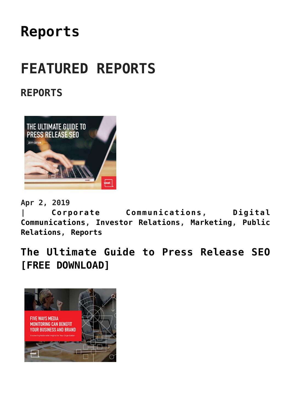## **[Reports](https://www.commpro.biz/reports-section/)**

# **FEATURED REPORTS**

### **REPORTS**



**Apr 2, 2019**

**| [Corporate Communications,](https://www.commpro.biz/./corporate-communications-section/) [Digital](https://www.commpro.biz/./digital-communications/) [Communications](https://www.commpro.biz/./digital-communications/), [Investor Relations,](https://www.commpro.biz/./investor-relations/) [Marketing](https://www.commpro.biz/./marketing/), [Public](https://www.commpro.biz/./public-relations-section/) [Relations,](https://www.commpro.biz/./public-relations-section/) [Reports](https://www.commpro.biz/./reports/)**

**[The Ultimate Guide to Press Release SEO](https://www.commpro.biz/the-ultimate-guide-to-press-release-seo-free-download/) [\[FREE DOWNLOAD\]](https://www.commpro.biz/the-ultimate-guide-to-press-release-seo-free-download/)**

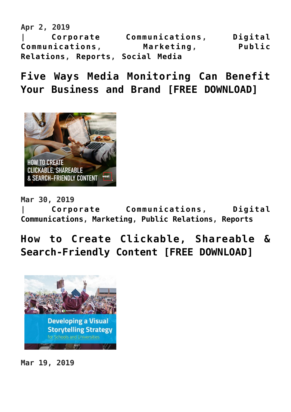**Apr 2, 2019 | [Corporate Communications,](https://www.commpro.biz/./corporate-communications-section/) [Digital](https://www.commpro.biz/./digital-communications/) [Communications,](https://www.commpro.biz/./digital-communications/) [Marketing](https://www.commpro.biz/./marketing/), [Public](https://www.commpro.biz/./public-relations-section/) [Relations,](https://www.commpro.biz/./public-relations-section/) [Reports](https://www.commpro.biz/./reports/), [Social Media](https://www.commpro.biz/./social-media/)**

**[Five Ways Media Monitoring Can Benefit](https://www.commpro.biz/five-ways-media-monitoring-can-benefit-your-business-and-brand-free-download/) [Your Business and Brand \[FREE DOWNLOAD\]](https://www.commpro.biz/five-ways-media-monitoring-can-benefit-your-business-and-brand-free-download/)**



**Mar 30, 2019 | [Corporate Communications,](https://www.commpro.biz/./corporate-communications-section/) [Digital](https://www.commpro.biz/./digital-communications/) [Communications,](https://www.commpro.biz/./digital-communications/) [Marketing](https://www.commpro.biz/./marketing/), [Public Relations,](https://www.commpro.biz/./public-relations-section/) [Reports](https://www.commpro.biz/./reports/)**

### **[How to Create Clickable, Shareable &](https://www.commpro.biz/how-to-create-clickable-shareable-search-friendly-content-free-download/) [Search-Friendly Content \[FREE DOWNLOAD\]](https://www.commpro.biz/how-to-create-clickable-shareable-search-friendly-content-free-download/)**



**Mar 19, 2019**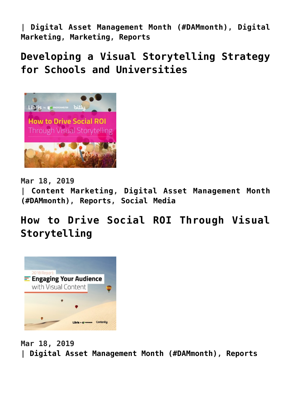**| [Digital Asset Management Month \(#DAMmonth\)](https://www.commpro.biz/./digital-asset-management-month-dam/), [Digital](https://www.commpro.biz/./marketing/digital-marketing/) [Marketing,](https://www.commpro.biz/./marketing/digital-marketing/) [Marketing](https://www.commpro.biz/./marketing/), [Reports](https://www.commpro.biz/./reports/)**

**[Developing a Visual Storytelling Strategy](https://www.commpro.biz/developing-a-visual-storytelling-strategy-for-schools-and-universities/) [for Schools and Universities](https://www.commpro.biz/developing-a-visual-storytelling-strategy-for-schools-and-universities/)**



**Mar 18, 2019**

**| [Content Marketing](https://www.commpro.biz/./marketing/content-marketing-marketing/), [Digital Asset Management Month](https://www.commpro.biz/./digital-asset-management-month-dam/) [\(#DAMmonth\)](https://www.commpro.biz/./digital-asset-management-month-dam/), [Reports](https://www.commpro.biz/./reports/), [Social Media](https://www.commpro.biz/./social-media/)**

**[How to Drive Social ROI Through Visual](https://www.commpro.biz/how-to-drive-social-roi-through-visual-storytelling/) [Storytelling](https://www.commpro.biz/how-to-drive-social-roi-through-visual-storytelling/)**



**Mar 18, 2019 | [Digital Asset Management Month \(#DAMmonth\),](https://www.commpro.biz/./digital-asset-management-month-dam/) [Reports](https://www.commpro.biz/./reports/)**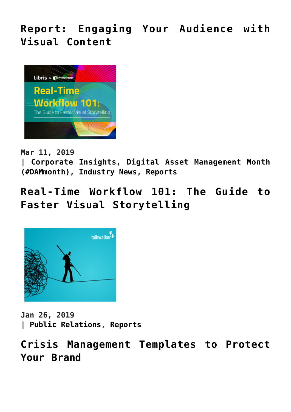**[Report: Engaging Your Audience with](https://www.commpro.biz/report-engaging-your-audience-with-visual-content/) [Visual Content](https://www.commpro.biz/report-engaging-your-audience-with-visual-content/)**



**Mar 11, 2019**

**| [Corporate Insights](https://www.commpro.biz/./corporate-insights/), [Digital Asset Management Month](https://www.commpro.biz/./digital-asset-management-month-dam/) [\(#DAMmonth\)](https://www.commpro.biz/./digital-asset-management-month-dam/), [Industry News](https://www.commpro.biz/./industry-news/), [Reports](https://www.commpro.biz/./reports/)**

**[Real-Time Workflow 101: The Guide to](https://www.commpro.biz/real-time-workflow-101-the-guide-to-faster-visual-storytelling/) [Faster Visual Storytelling](https://www.commpro.biz/real-time-workflow-101-the-guide-to-faster-visual-storytelling/)**



**Jan 26, 2019 | [Public Relations](https://www.commpro.biz/./public-relations-section/), [Reports](https://www.commpro.biz/./reports/)**

**[Crisis Management Templates to Protect](https://www.commpro.biz/crisis-management-templates-to-protect-your-brand/) [Your Brand](https://www.commpro.biz/crisis-management-templates-to-protect-your-brand/)**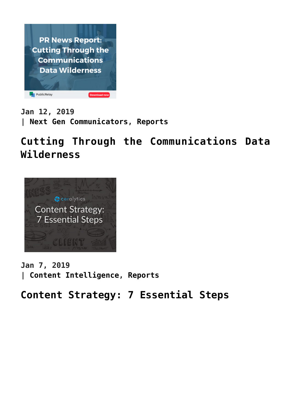

**Jan 12, 2019 | [Next Gen Communicators,](https://www.commpro.biz/./next-gen-communicators/) [Reports](https://www.commpro.biz/./reports/)**

**[Cutting Through the Communications Data](https://www.commpro.biz/cutting-through-the-communications-data-wilderness/) [Wilderness](https://www.commpro.biz/cutting-through-the-communications-data-wilderness/)**



**Jan 7, 2019 | [Content Intelligence,](https://www.commpro.biz/./content-intelligence/) [Reports](https://www.commpro.biz/./reports/)**

**[Content Strategy: 7 Essential Steps](https://www.commpro.biz/content-strategy-7-essential-steps/)**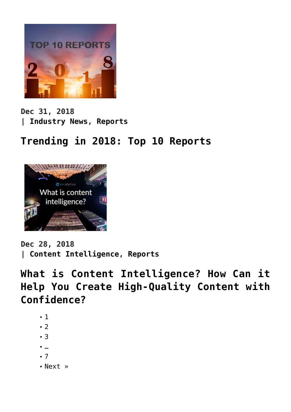

**Dec 31, 2018 | [Industry News,](https://www.commpro.biz/./industry-news/) [Reports](https://www.commpro.biz/./reports/)**

**[Trending in 2018: Top 10 Reports](https://www.commpro.biz/trending-in-2018-top-10-reports/)**



**Dec 28, 2018 | [Content Intelligence,](https://www.commpro.biz/./content-intelligence/) [Reports](https://www.commpro.biz/./reports/)**

**[What is Content Intelligence? How Can it](https://www.commpro.biz/what-is-content-intelligence-how-can-it-help-you-create-high-quality-content-with-confidence/) [Help You Create High-Quality Content with](https://www.commpro.biz/what-is-content-intelligence-how-can-it-help-you-create-high-quality-content-with-confidence/) [Confidence?](https://www.commpro.biz/what-is-content-intelligence-how-can-it-help-you-create-high-quality-content-with-confidence/)**

- $-1$
- $-2$  $-2$
- $-3$  $-3$
- …
- [7](https://www.commpro.biz/reports-section/?fl_builderpage/7/&fl_builder)
- [Next »](https://www.commpro.biz/reports-section/?fl_builderpage/2/&fl_builder)